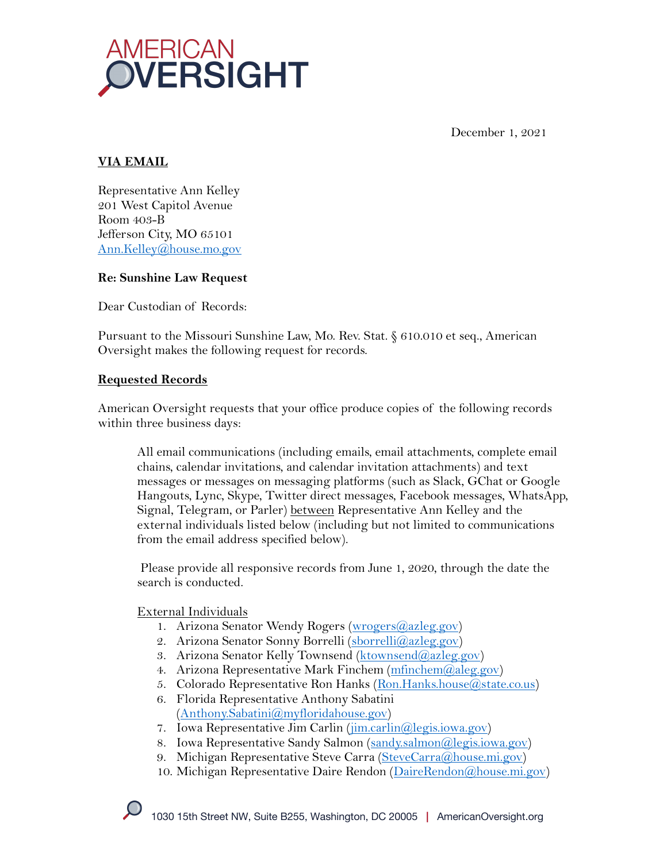

December 1, 2021

## **VIA EMAIL**

Representative Ann Kelley 201 West Capitol Avenue Room 403-B Jefferson City, MO 65101 Ann.Kelley@house.mo.gov

## **Re: Sunshine Law Request**

Dear Custodian of Records:

Pursuant to the Missouri Sunshine Law, Mo. Rev. Stat. § 610.010 et seq., American Oversight makes the following request for records.

## **Requested Records**

American Oversight requests that your office produce copies of the following records within three business days:

All email communications (including emails, email attachments, complete email chains, calendar invitations, and calendar invitation attachments) and text messages or messages on messaging platforms (such as Slack, GChat or Google Hangouts, Lync, Skype, Twitter direct messages, Facebook messages, WhatsApp, Signal, Telegram, or Parler) between Representative Ann Kelley and the external individuals listed below (including but not limited to communications from the email address specified below).

Please provide all responsive records from June 1, 2020, through the date the search is conducted.

#### External Individuals

- 1. Arizona Senator Wendy Rogers (wrogers@azleg.gov)
- 2. Arizona Senator Sonny Borrelli (sborrelli@azleg.gov)
- 3. Arizona Senator Kelly Townsend (ktownsend@azleg.gov)
- 4. Arizona Representative Mark Finchem (mfinchem @aleg.gov)
- 5. Colorado Representative Ron Hanks (Ron.Hanks.house@state.co.us)
- 6. Florida Representative Anthony Sabatini (Anthony.Sabatini@myfloridahouse.gov)
- 7. Iowa Representative Jim Carlin (*jim.carlin@legis.iowa.gov*)
- 8. Iowa Representative Sandy Salmon (sandy.salmon@legis.iowa.gov)
- 9. Michigan Representative Steve Carra (SteveCarra@house.mi.gov)
- 10. Michigan Representative Daire Rendon (DaireRendon@house.mi.gov)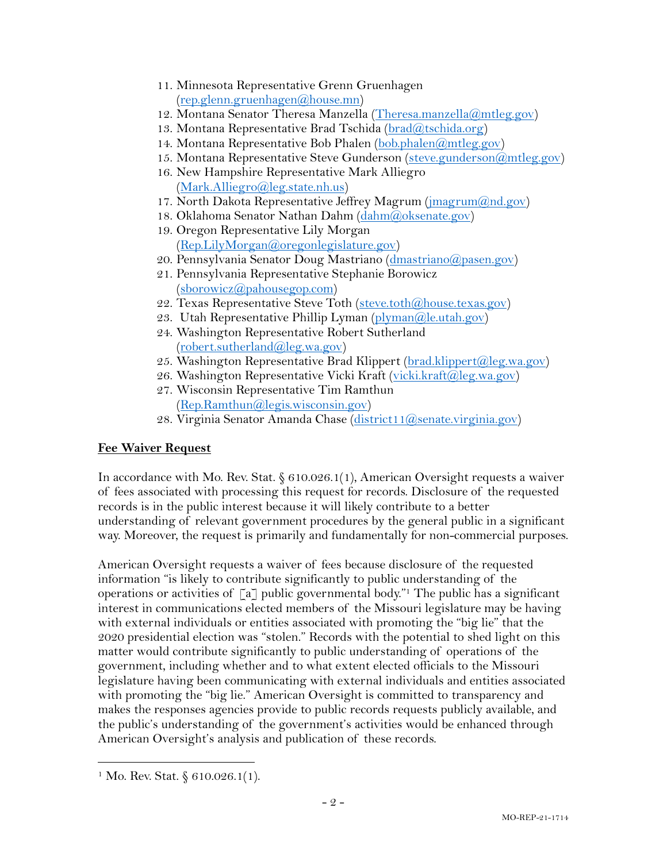- 11. Minnesota Representative Grenn Gruenhagen (rep.glenn.gruenhagen@house.mn)
- 12. Montana Senator Theresa Manzella (Theresa.manzella@mtleg.gov)
- 13. Montana Representative Brad Tschida (brad@tschida.org)
- 14. Montana Representative Bob Phalen (bob.phalen@mtleg.gov)
- 15. Montana Representative Steve Gunderson (steve.gunderson@mtleg.gov)
- 16. New Hampshire Representative Mark Alliegro (Mark.Alliegro@leg.state.nh.us)
- 17. North Dakota Representative Jeffrey Magrum (jmagrum@nd.gov)
- 18. Oklahoma Senator Nathan Dahm (dahm@oksenate.gov)
- 19. Oregon Representative Lily Morgan (Rep.LilyMorgan@oregonlegislature.gov)
- 20. Pennsylvania Senator Doug Mastriano (dmastriano@pasen.gov)
- 21. Pennsylvania Representative Stephanie Borowicz (sborowicz@pahousegop.com)
- 22. Texas Representative Steve Toth (steve.toth@house.texas.gov)
- 23. Utah Representative Phillip Lyman (plyman@le.utah.gov)
- 24. Washington Representative Robert Sutherland (robert.sutherland@leg.wa.gov)
- 25. Washington Representative Brad Klippert (brad.klippert@leg.wa.gov)
- 26. Washington Representative Vicki Kraft (vicki.kraft@leg.wa.gov)
- 27. Wisconsin Representative Tim Ramthun (Rep.Ramthun@legis.wisconsin.gov)
- 28. Virginia Senator Amanda Chase (district11@senate.virginia.gov)

# **Fee Waiver Request**

In accordance with Mo. Rev. Stat. § 610.026.1(1), American Oversight requests a waiver of fees associated with processing this request for records. Disclosure of the requested records is in the public interest because it will likely contribute to a better understanding of relevant government procedures by the general public in a significant way. Moreover, the request is primarily and fundamentally for non-commercial purposes.

American Oversight requests a waiver of fees because disclosure of the requested information "is likely to contribute significantly to public understanding of the operations or activities of  $\lceil a \rceil$  public governmental body.<sup>"1</sup> The public has a significant interest in communications elected members of the Missouri legislature may be having with external individuals or entities associated with promoting the "big lie" that the 2020 presidential election was "stolen." Records with the potential to shed light on this matter would contribute significantly to public understanding of operations of the government, including whether and to what extent elected officials to the Missouri legislature having been communicating with external individuals and entities associated with promoting the "big lie." American Oversight is committed to transparency and makes the responses agencies provide to public records requests publicly available, and the public's understanding of the government's activities would be enhanced through American Oversight's analysis and publication of these records.

<sup>&</sup>lt;sup>1</sup> Mo. Rev. Stat.  $§ 610.026.1(1)$ .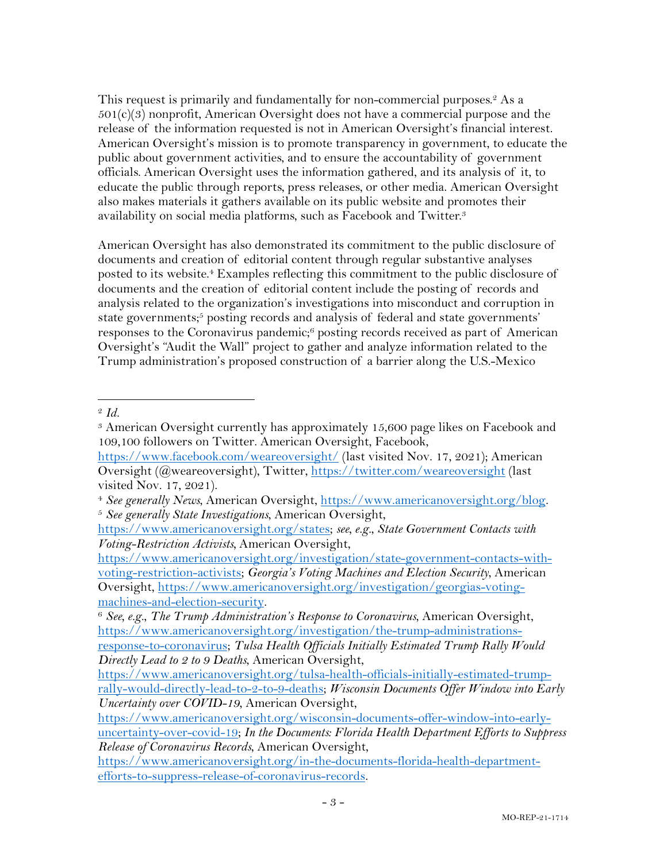This request is primarily and fundamentally for non-commercial purposes.<sup>2</sup> As a  $501(c)(3)$  nonprofit, American Oversight does not have a commercial purpose and the release of the information requested is not in American Oversight's financial interest. American Oversight's mission is to promote transparency in government, to educate the public about government activities, and to ensure the accountability of government officials. American Oversight uses the information gathered, and its analysis of it, to educate the public through reports, press releases, or other media. American Oversight also makes materials it gathers available on its public website and promotes their availability on social media platforms, such as Facebook and Twitter.3

American Oversight has also demonstrated its commitment to the public disclosure of documents and creation of editorial content through regular substantive analyses posted to its website. <sup>4</sup> Examples reflecting this commitment to the public disclosure of documents and the creation of editorial content include the posting of records and analysis related to the organization's investigations into misconduct and corruption in state governments; <sup>5</sup> posting records and analysis of federal and state governments' responses to the Coronavirus pandemic;6 posting records received as part of American Oversight's "Audit the Wall" project to gather and analyze information related to the Trump administration's proposed construction of a barrier along the U.S.-Mexico

<sup>2</sup> *Id.*

<sup>3</sup> American Oversight currently has approximately 15,600 page likes on Facebook and 109,100 followers on Twitter. American Oversight, Facebook,

https://www.facebook.com/weareoversight/ (last visited Nov. 17, 2021); American Oversight (@weareoversight), Twitter, https://twitter.com/weareoversight (last visited Nov. 17, 2021).

<sup>4</sup> *See generally News*, American Oversight, https://www.americanoversight.org/blog. 5 *See generally State Investigations*, American Oversight,

https://www.americanoversight.org/states; *see, e.g.*, *State Government Contacts with Voting-Restriction Activists,* American Oversight,

https://www.americanoversight.org/investigation/state-government-contacts-withvoting-restriction-activists; *Georgia's Voting Machines and Election Security*, American Oversight, https://www.americanoversight.org/investigation/georgias-voting-

machines-and-election-security. 6 *See, e.g.*, *The Trump Administration's Response to Coronavirus*, American Oversight, https://www.americanoversight.org/investigation/the-trump-administrations-

response-to-coronavirus; *Tulsa Health Officials Initially Estimated Trump Rally Would Directly Lead to 2 to 9 Deaths*, American Oversight,

https://www.americanoversight.org/tulsa-health-officials-initially-estimated-trumprally-would-directly-lead-to-2-to-9-deaths; *Wisconsin Documents Offer Window into Early Uncertainty over COVID-19*, American Oversight,

https://www.americanoversight.org/wisconsin-documents-offer-window-into-earlyuncertainty-over-covid-19; *In the Documents: Florida Health Department Efforts to Suppress Release of Coronavirus Records*, American Oversight,

https://www.americanoversight.org/in-the-documents-florida-health-departmentefforts-to-suppress-release-of-coronavirus-records.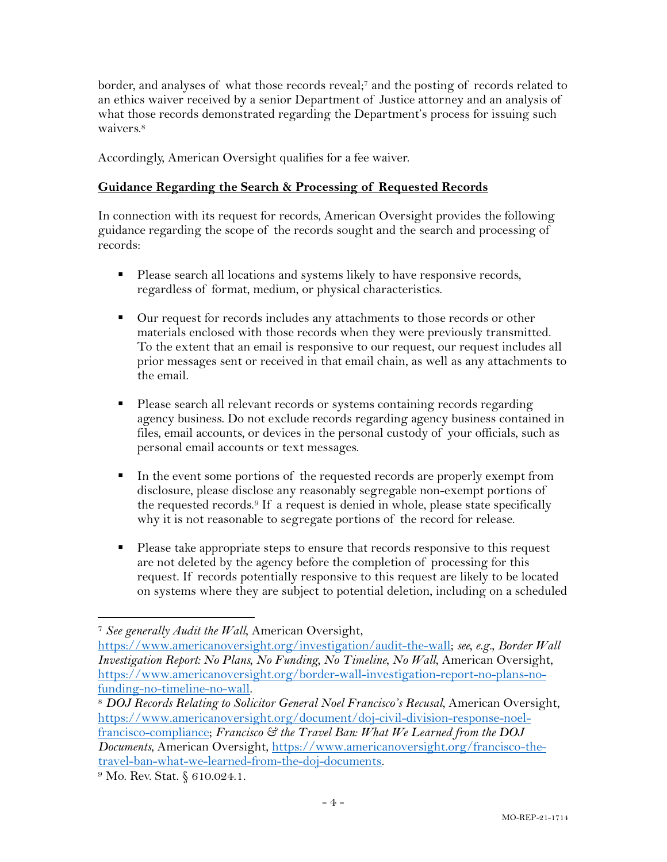border, and analyses of what those records reveal;<sup>7</sup> and the posting of records related to an ethics waiver received by a senior Department of Justice attorney and an analysis of what those records demonstrated regarding the Department's process for issuing such waivers.<sup>8</sup>

Accordingly, American Oversight qualifies for a fee waiver.

## **Guidance Regarding the Search & Processing of Requested Records**

In connection with its request for records, American Oversight provides the following guidance regarding the scope of the records sought and the search and processing of records:

- Please search all locations and systems likely to have responsive records, regardless of format, medium, or physical characteristics.
- Our request for records includes any attachments to those records or other materials enclosed with those records when they were previously transmitted. To the extent that an email is responsive to our request, our request includes all prior messages sent or received in that email chain, as well as any attachments to the email.
- Please search all relevant records or systems containing records regarding agency business. Do not exclude records regarding agency business contained in files, email accounts, or devices in the personal custody of your officials, such as personal email accounts or text messages.
- § In the event some portions of the requested records are properly exempt from disclosure, please disclose any reasonably segregable non-exempt portions of the requested records.9 If a request is denied in whole, please state specifically why it is not reasonable to segregate portions of the record for release.
- Please take appropriate steps to ensure that records responsive to this request are not deleted by the agency before the completion of processing for this request. If records potentially responsive to this request are likely to be located on systems where they are subject to potential deletion, including on a scheduled

<sup>7</sup> *See generally Audit the Wall*, American Oversight,

https://www.americanoversight.org/investigation/audit-the-wall; *see, e.g.*, *Border Wall Investigation Report: No Plans, No Funding, No Timeline, No Wall*, American Oversight, https://www.americanoversight.org/border-wall-investigation-report-no-plans-nofunding-no-timeline-no-wall. 8 *DOJ Records Relating to Solicitor General Noel Francisco's Recusal*, American Oversight,

https://www.americanoversight.org/document/doj-civil-division-response-noelfrancisco-compliance; *Francisco & the Travel Ban: What We Learned from the DOJ Documents*, American Oversight, https://www.americanoversight.org/francisco-thetravel-ban-what-we-learned-from-the-doj-documents.

<sup>&</sup>lt;sup>9</sup> Mo. Rev. Stat. § 610.024.1.